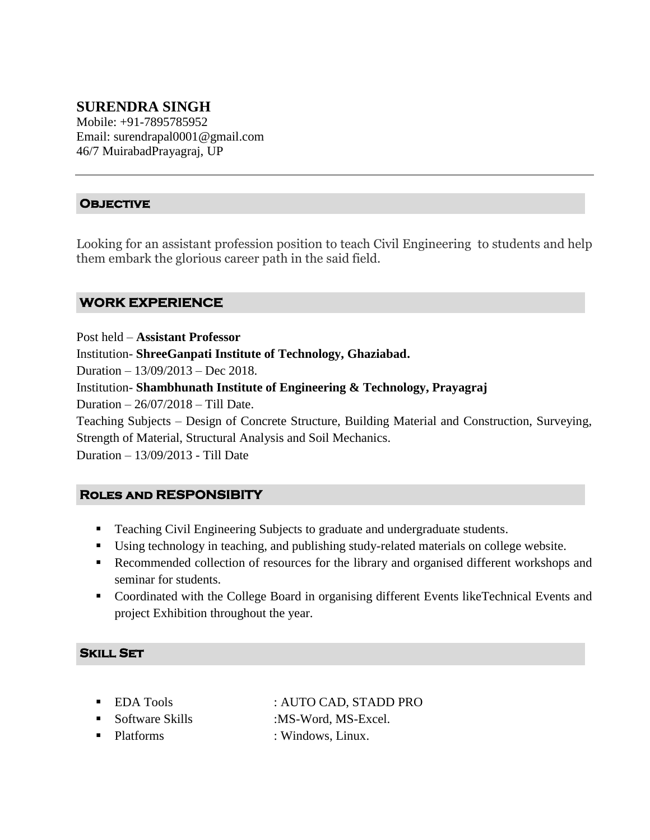# **SURENDRA SINGH**

Mobile: +91-7895785952 Email: surendrapal0001@gmail.com 46/7 MuirabadPrayagraj, UP

## **Objective**

Looking for an assistant profession position to teach Civil Engineering to students and help them embark the glorious career path in the said field.

## **WORK EXPERIENCE**

Post held – **Assistant Professor** 

Institution- **ShreeGanpati Institute of Technology, Ghaziabad.**

Duration – 13/09/2013 – Dec 2018.

Institution- **Shambhunath Institute of Engineering & Technology, Prayagraj**

Duration – 26/07/2018 – Till Date.

Teaching Subjects – Design of Concrete Structure, Building Material and Construction, Surveying, Strength of Material, Structural Analysis and Soil Mechanics.

Duration – 13/09/2013 - Till Date

## **Roles and RESPONSIBITY**

- **Teaching Civil Engineering Subjects to graduate and undergraduate students.**
- Using technology in teaching, and publishing study-related materials on college website.
- Recommended collection of resources for the library and organised different workshops and seminar for students.
- Coordinated with the College Board in organising different Events likeTechnical Events and project Exhibition throughout the year.

#### **Skill Set**

■ Software Skills :MS-Word, MS-Excel.

■ EDA Tools : AUTO CAD, STADD PRO

• Platforms : Windows, Linux.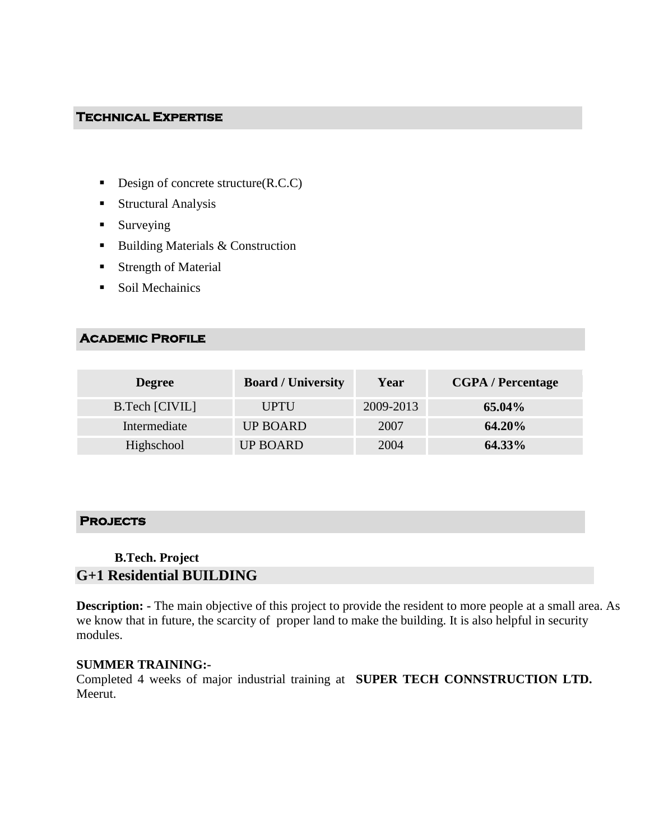#### **Technical Expertise**

- Design of concrete structure $(R.C.C)$
- Structural Analysis
- **Surveying**
- $\blacksquare$  Building Materials & Construction
- **Strength of Material**
- Soil Mechainics

## **Academic Profile**

| <b>Degree</b>  | <b>Board / University</b> | Year      | <b>CGPA</b> / Percentage |
|----------------|---------------------------|-----------|--------------------------|
| B.Tech [CIVIL] | UPTU                      | 2009-2013 | 65.04%                   |
| Intermediate   | <b>UP BOARD</b>           | 2007      | <b>64.20%</b>            |
| Highschool     | <b>UP BOARD</b>           | 2004      | <b>64.33%</b>            |

## **Projects**

## **B.Tech. Project**

# **G+1 Residential BUILDING**

**Description:** - The main objective of this project to provide the resident to more people at a small area. As we know that in future, the scarcity of proper land to make the building. It is also helpful in security modules.

#### **SUMMER TRAINING:-**

Completed 4 weeks of major industrial training at **SUPER TECH CONNSTRUCTION LTD.**  Meerut.